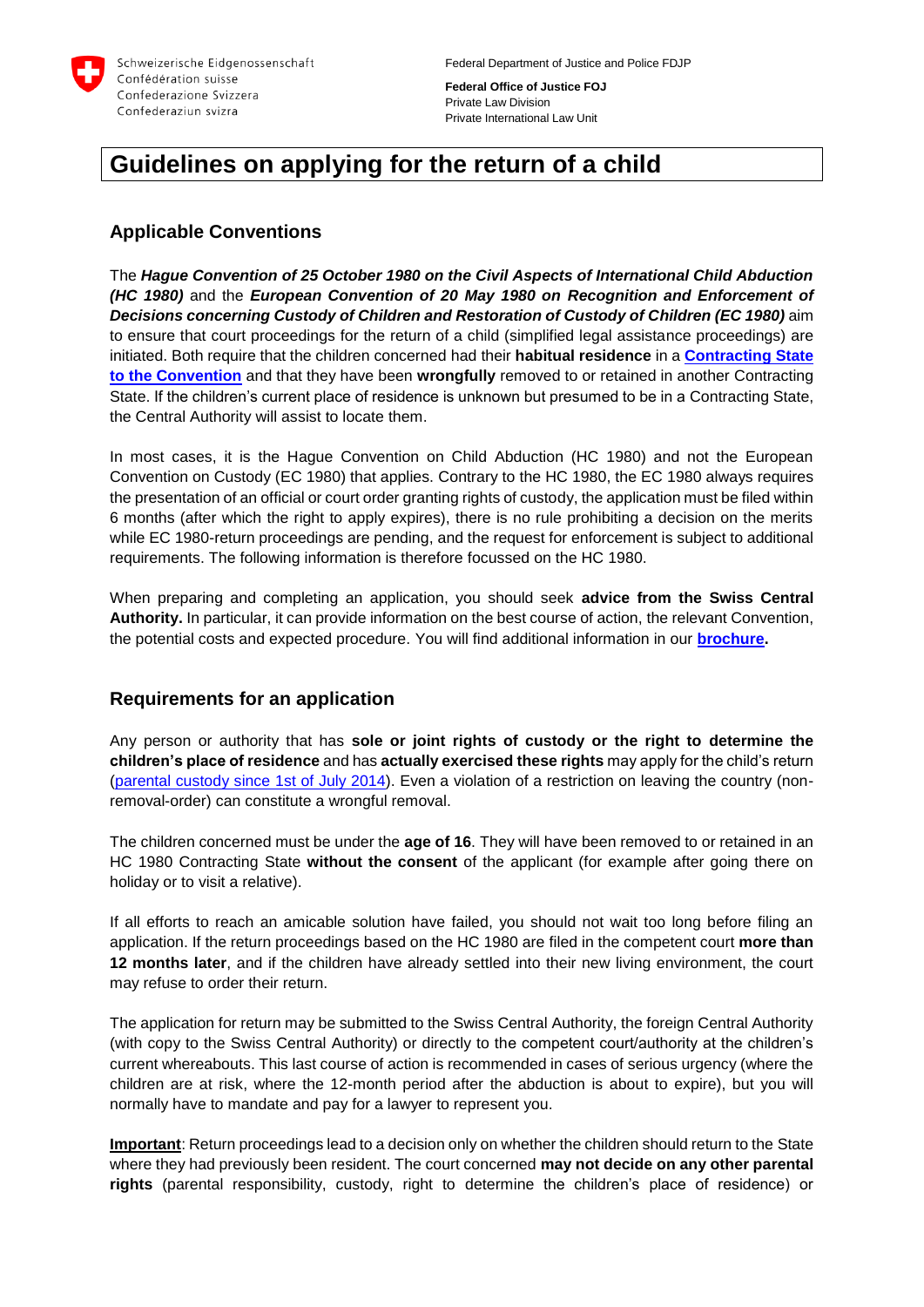

**Federal Office of Justice FOJ** Private Law Division Private International Law Unit

# **Guidelines on applying for the return of a child**

# **Applicable Conventions**

The *Hague Convention of 25 October 1980 on the Civil Aspects of International Child Abduction (HC 1980)* and the *European Convention of 20 May 1980 on Recognition and Enforcement of*  **Decisions concerning Custody of Children and Restoration of Custody of Children (EC 1980)** aim to ensure that court proceedings for the return of a child (simplified legal assistance proceedings) are initiated. Both require that the children concerned had their **habitual residence** in a **[Contracting](https://www.bj.admin.ch/dam/data/bj/gesellschaft/kindesentfuehrung/verfahren/hue-vertragsstaaten-e.pdf) State to the [Convention](https://www.bj.admin.ch/dam/data/bj/gesellschaft/kindesentfuehrung/verfahren/hue-vertragsstaaten-e.pdf)** and that they have been **wrongfully** removed to or retained in another Contracting State. If the children's current place of residence is unknown but presumed to be in a Contracting State, the Central Authority will assist to locate them.

In most cases, it is the Hague Convention on Child Abduction (HC 1980) and not the European Convention on Custody (EC 1980) that applies. Contrary to the HC 1980, the EC 1980 always requires the presentation of an official or court order granting rights of custody, the application must be filed within 6 months (after which the right to apply expires), there is no rule prohibiting a decision on the merits while EC 1980-return proceedings are pending, and the request for enforcement is subject to additional requirements. The following information is therefore focussed on the HC 1980.

When preparing and completing an application, you should seek **advice from the Swiss Central Authority.** In particular, it can provide information on the best course of action, the relevant Convention, the potential costs and expected procedure. You will find additional information in our **[brochure.](https://www.bj.admin.ch/dam/data/bj/gesellschaft/kindesentfuehrung/bro-kindsentfuehrung-e.pdf)**

# **Requirements for an application**

Any person or authority that has **sole or joint rights of custody or the right to determine the children's place of residence** and has **actually exercised these rights** may apply for the child's return [\(parental custody since 1st](https://www.bj.admin.ch/dam/data/bj/gesellschaft/kindesentfuehrung/mb-elterliche-sorge-und-kindesentfuehrung-e.pdf) of July 2014). Even a violation of a restriction on leaving the country (nonremoval-order) can constitute a wrongful removal.

The children concerned must be under the **age of 16**. They will have been removed to or retained in an HC 1980 Contracting State **without the consent** of the applicant (for example after going there on holiday or to visit a relative).

If all efforts to reach an amicable solution have failed, you should not wait too long before filing an application. If the return proceedings based on the HC 1980 are filed in the competent court **more than 12 months later**, and if the children have already settled into their new living environment, the court may refuse to order their return.

The application for return may be submitted to the Swiss Central Authority, the foreign Central Authority (with copy to the Swiss Central Authority) or directly to the competent court/authority at the children's current whereabouts. This last course of action is recommended in cases of serious urgency (where the children are at risk, where the 12-month period after the abduction is about to expire), but you will normally have to mandate and pay for a lawyer to represent you.

**Important**: Return proceedings lead to a decision only on whether the children should return to the State where they had previously been resident. The court concerned **may not decide on any other parental rights** (parental responsibility, custody, right to determine the children's place of residence) or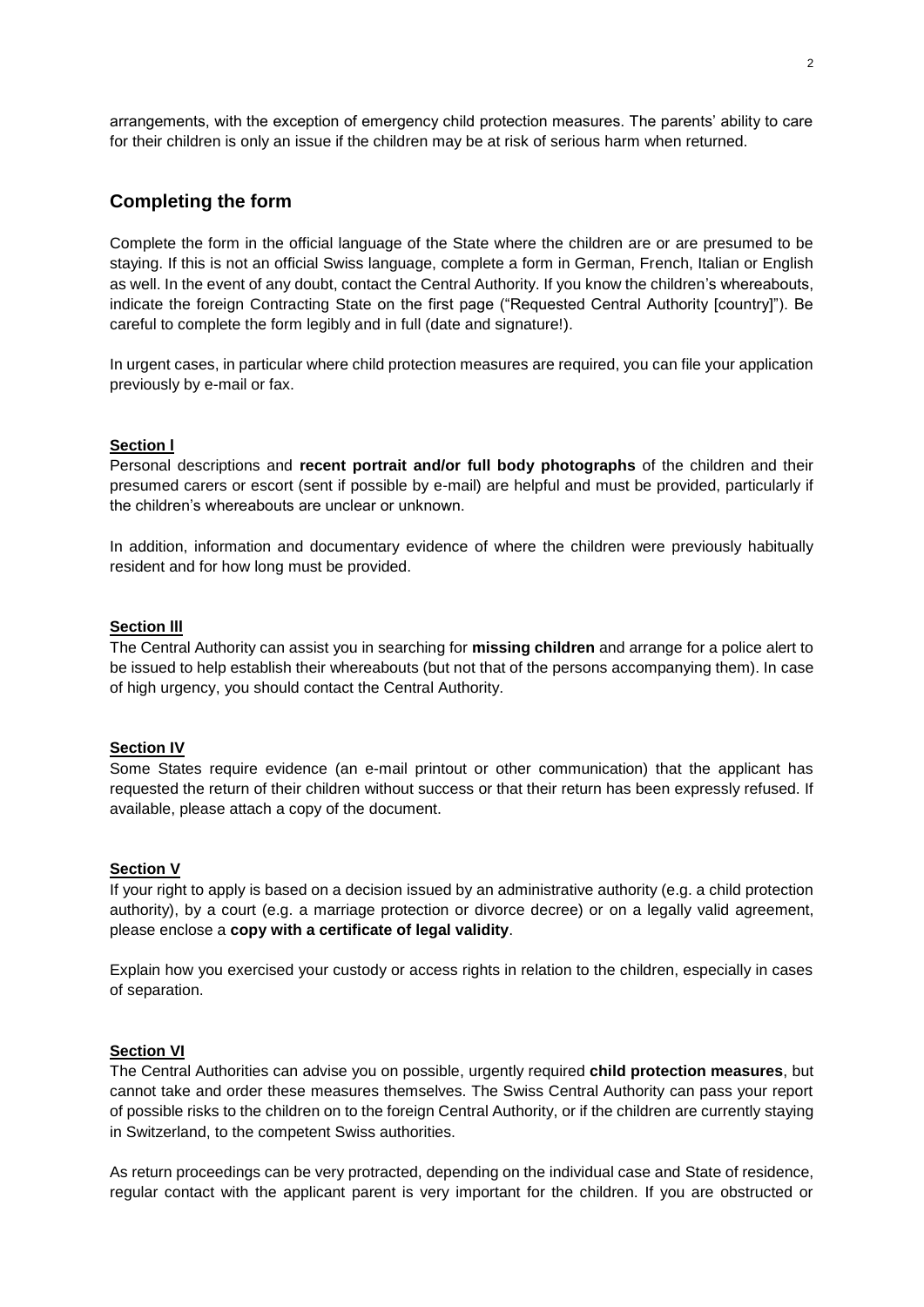arrangements, with the exception of emergency child protection measures. The parents' ability to care for their children is only an issue if the children may be at risk of serious harm when returned.

# **Completing the form**

Complete the form in the official language of the State where the children are or are presumed to be staying. If this is not an official Swiss language, complete a form in German, French, Italian or English as well. In the event of any doubt, contact the Central Authority. If you know the children's whereabouts, indicate the foreign Contracting State on the first page ("Requested Central Authority [country]"). Be careful to complete the form legibly and in full (date and signature!).

In urgent cases, in particular where child protection measures are required, you can file your application previously by e-mail or fax.

#### **Section l**

Personal descriptions and **recent portrait and/or full body photographs** of the children and their presumed carers or escort (sent if possible by e-mail) are helpful and must be provided, particularly if the children's whereabouts are unclear or unknown.

In addition, information and documentary evidence of where the children were previously habitually resident and for how long must be provided.

#### **Section lll**

The Central Authority can assist you in searching for **missing children** and arrange for a police alert to be issued to help establish their whereabouts (but not that of the persons accompanying them). In case of high urgency, you should contact the Central Authority.

#### **Section IV**

Some States require evidence (an e-mail printout or other communication) that the applicant has requested the return of their children without success or that their return has been expressly refused. If available, please attach a copy of the document.

#### **Section V**

If your right to apply is based on a decision issued by an administrative authority (e.g. a child protection authority), by a court (e.g. a marriage protection or divorce decree) or on a legally valid agreement, please enclose a **copy with a certificate of legal validity**.

Explain how you exercised your custody or access rights in relation to the children, especially in cases of separation.

#### **Section VI**

The Central Authorities can advise you on possible, urgently required **child protection measures**, but cannot take and order these measures themselves. The Swiss Central Authority can pass your report of possible risks to the children on to the foreign Central Authority, or if the children are currently staying in Switzerland, to the competent Swiss authorities.

As return proceedings can be very protracted, depending on the individual case and State of residence, regular contact with the applicant parent is very important for the children. If you are obstructed or